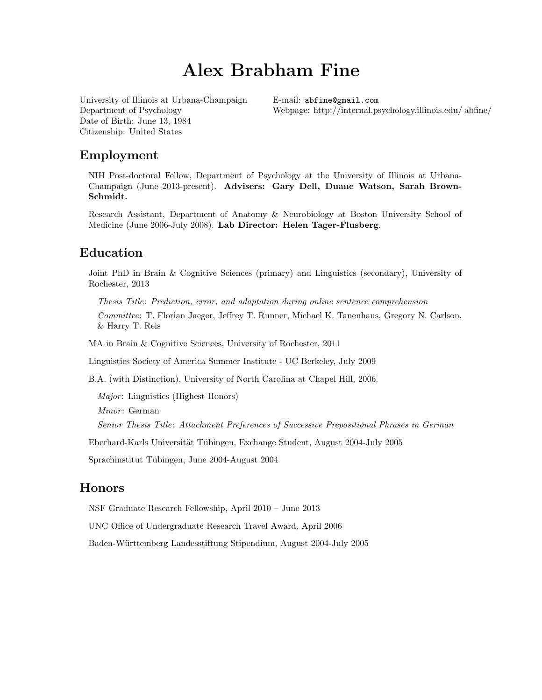# Alex Brabham Fine

[University of Illinois at Urbana-Champaign](www.illinois.edu) Department of Psychology Date of Birth: June 13, 1984 Citizenship: United States

E-mail: [abfine@gmail.com](mailto:abfine@gmail.com) Webpage: [http://internal.psychology.illinois.edu/ a](http://internal.psychology.illinois.edu/~abfine/AlexFineHome.html)bfine/

### Employment

NIH Post-doctoral Fellow, Department of Psychology at the University of Illinois at Urbana-Champaign (June 2013-present). Advisers: Gary Dell, Duane Watson, Sarah Brown-Schmidt.

Research Assistant, Department of Anatomy & Neurobiology at Boston University School of Medicine (June 2006-July 2008). Lab Director: Helen Tager-Flusberg.

# Education

Joint PhD in Brain & Cognitive Sciences (primary) and Linguistics (secondary), University of Rochester, 2013

Thesis Title: Prediction, error, and adaptation during online sentence comprehension Committee: T. Florian Jaeger, Jeffrey T. Runner, Michael K. Tanenhaus, Gregory N. Carlson, & Harry T. Reis

MA in Brain & Cognitive Sciences, University of Rochester, 2011

Linguistics Society of America Summer Institute - UC Berkeley, July 2009

B.A. (with Distinction), University of North Carolina at Chapel Hill, 2006.

Major: Linguistics (Highest Honors)

Minor: German

Senior Thesis Title: Attachment Preferences of Successive Prepositional Phrases in German

Eberhard-Karls Universität Tübingen, Exchange Student, August 2004-July 2005

Sprachinstitut Tübingen, June 2004-August 2004

### Honors

NSF Graduate Research Fellowship, April 2010 – June 2013

UNC Office of Undergraduate Research Travel Award, April 2006

Baden-W¨urttemberg Landesstiftung Stipendium, August 2004-July 2005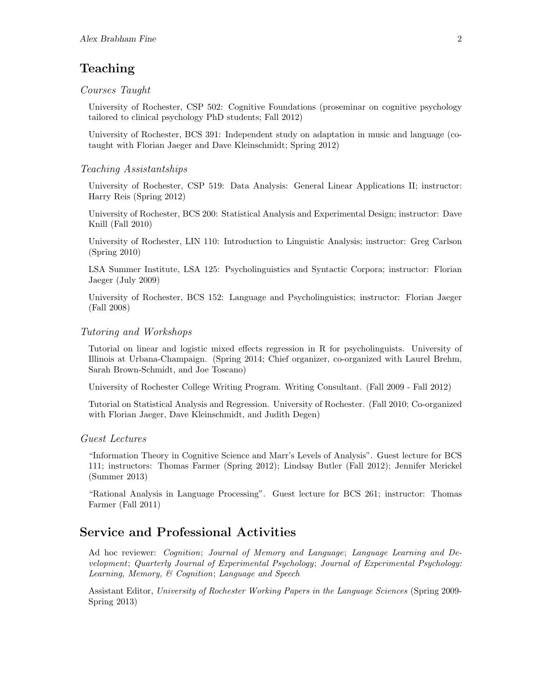# Teaching

#### Courses Taught

University of Rochester, CSP 502: Cognitive Foundations (proseminar on cognitive psychology tailored to clinical psychology PhD students; Fall 2012)

University of Rochester, BCS 391: Independent study on adaptation in music and language (cotaught with Florian Jaeger and Dave Kleinschmidt; Spring 2012)

#### Teaching Assistantships

University of Rochester, CSP 519: Data Analysis: General Linear Applications II; instructor: Harry Reis (Spring 2012)

University of Rochester, BCS 200: Statistical Analysis and Experimental Design; instructor: Dave Knill (Fall 2010)

University of Rochester, LIN 110: Introduction to Linguistic Analysis; instructor: Greg Carlson (Spring 2010)

LSA Summer Institute, LSA 125: Psycholinguistics and Syntactic Corpora; instructor: Florian Jaeger (July 2009)

University of Rochester, BCS 152: Language and Psycholinguistics; instructor: Florian Jaeger (Fall 2008)

#### Tutoring and Workshops

Tutorial on linear and logistic mixed effects regression in R for psycholinguists. University of Illinois at Urbana-Champaign. (Spring 2014; Chief organizer, co-organized with Laurel Brehm, Sarah Brown-Schmidt, and Joe Toscano)

University of Rochester College Writing Program. Writing Consultant. (Fall 2009 - Fall 2012)

Tutorial on Statistical Analysis and Regression. University of Rochester. (Fall 2010; Co-organized with Florian Jaeger, Dave Kleinschmidt, and Judith Degen)

#### Guest Lectures

"Information Theory in Cognitive Science and Marr's Levels of Analysis". Guest lecture for BCS 111; instructors: Thomas Farmer (Spring 2012); Lindsay Butler (Fall 2012); Jennifer Merickel (Summer 2013)

"Rational Analysis in Language Processing". Guest lecture for BCS 261; instructor: Thomas Farmer (Fall 2011)

# Service and Professional Activities

Ad hoc reviewer: Cognition; Journal of Memory and Language; Language Learning and Development; Quarterly Journal of Experimental Psychology; Journal of Experimental Psychology: Learning, Memory, & Cognition; Language and Speech

Assistant Editor, University of Rochester Working Papers in the Language Sciences (Spring 2009- Spring 2013)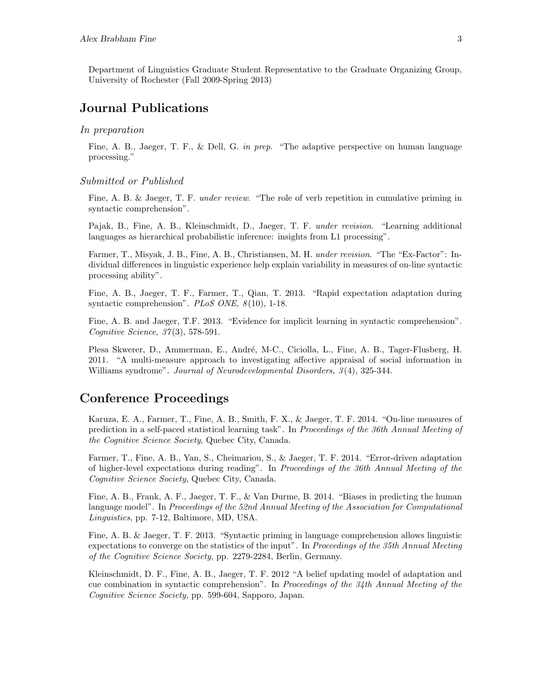Department of Linguistics Graduate Student Representative to the Graduate Organizing Group, University of Rochester (Fall 2009-Spring 2013)

# Journal Publications

#### In preparation

Fine, A. B., Jaeger, T. F., & Dell, G. in prep. "The adaptive perspective on human language processing."

#### Submitted or Published

Fine, A. B. & Jaeger, T. F. *under review.* "The role of verb repetition in cumulative priming in syntactic comprehension".

Pajak, B., Fine, A. B., Kleinschmidt, D., Jaeger, T. F. under revision. "Learning additional languages as hierarchical probabilistic inference: insights from L1 processing".

Farmer, T., Misyak, J. B., Fine, A. B., Christiansen, M. H. under revision. "The "Ex-Factor": Individual differences in linguistic experience help explain variability in measures of on-line syntactic processing ability".

Fine, A. B., Jaeger, T. F., Farmer, T., Qian, T. 2013. "Rapid expectation adaptation during syntactic comprehension".  $PLoS$  ONE,  $8(10)$ , 1-18.

Fine, A. B. and Jaeger, T.F. 2013. "Evidence for implicit learning in syntactic comprehension". Cognitive Science, 37(3), 578-591.

Plesa Skwerer, D., Ammerman, E., André, M-C., Ciciolla, L., Fine, A. B., Tager-Flusberg, H. 2011. "A multi-measure approach to investigating affective appraisal of social information in Williams syndrome". Journal of Neurodevelopmental Disorders,  $3(4)$ , 325-344.

### Conference Proceedings

Karuza, E. A., Farmer, T., Fine, A. B., Smith, F. X., & Jaeger, T. F. 2014. "On-line measures of prediction in a self-paced statistical learning task". In Proceedings of the 36th Annual Meeting of the Cognitive Science Society, Quebec City, Canada.

Farmer, T., Fine, A. B., Yan, S., Cheimariou, S., & Jaeger, T. F. 2014. "Error-driven adaptation of higher-level expectations during reading". In Proceedings of the 36th Annual Meeting of the Cognitive Science Society, Quebec City, Canada.

Fine, A. B., Frank, A. F., Jaeger, T. F., & Van Durme, B. 2014. "Biases in predicting the human language model". In Proceedings of the 52nd Annual Meeting of the Association for Computational Linguistics, pp. 7-12, Baltimore, MD, USA.

Fine, A. B. & Jaeger, T. F. 2013. "Syntactic priming in language comprehension allows linguistic expectations to converge on the statistics of the input". In Proceedings of the 35th Annual Meeting of the Cognitive Science Society, pp. 2279-2284, Berlin, Germany.

Kleinschmidt, D. F., Fine, A. B., Jaeger, T. F. 2012 "A belief updating model of adaptation and cue combination in syntactic comprehension". In Proceedings of the  $34th$  Annual Meeting of the Cognitive Science Society, pp. 599-604, Sapporo, Japan.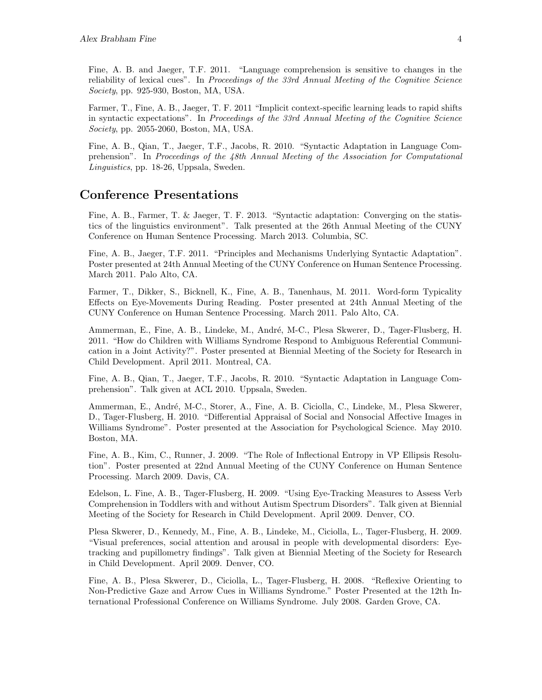Fine, A. B. and Jaeger, T.F. 2011. "Language comprehension is sensitive to changes in the reliability of lexical cues". In Proceedings of the 33rd Annual Meeting of the Cognitive Science Society, pp. 925-930, Boston, MA, USA.

Farmer, T., Fine, A. B., Jaeger, T. F. 2011 "Implicit context-specific learning leads to rapid shifts in syntactic expectations". In Proceedings of the 33rd Annual Meeting of the Cognitive Science Society, pp. 2055-2060, Boston, MA, USA.

Fine, A. B., Qian, T., Jaeger, T.F., Jacobs, R. 2010. "Syntactic Adaptation in Language Comprehension". In Proceedings of the 48th Annual Meeting of the Association for Computational Linguistics, pp. 18-26, Uppsala, Sweden.

### Conference Presentations

Fine, A. B., Farmer, T. & Jaeger, T. F. 2013. "Syntactic adaptation: Converging on the statistics of the linguistics environment". Talk presented at the 26th Annual Meeting of the CUNY Conference on Human Sentence Processing. March 2013. Columbia, SC.

Fine, A. B., Jaeger, T.F. 2011. "Principles and Mechanisms Underlying Syntactic Adaptation". Poster presented at 24th Annual Meeting of the CUNY Conference on Human Sentence Processing. March 2011. Palo Alto, CA.

Farmer, T., Dikker, S., Bicknell, K., Fine, A. B., Tanenhaus, M. 2011. Word-form Typicality Effects on Eye-Movements During Reading. Poster presented at 24th Annual Meeting of the CUNY Conference on Human Sentence Processing. March 2011. Palo Alto, CA.

Ammerman, E., Fine, A. B., Lindeke, M., André, M-C., Plesa Skwerer, D., Tager-Flusberg, H. 2011. "How do Children with Williams Syndrome Respond to Ambiguous Referential Communication in a Joint Activity?". Poster presented at Biennial Meeting of the Society for Research in Child Development. April 2011. Montreal, CA.

Fine, A. B., Qian, T., Jaeger, T.F., Jacobs, R. 2010. "Syntactic Adaptation in Language Comprehension". Talk given at ACL 2010. Uppsala, Sweden.

Ammerman, E., André, M-C., Storer, A., Fine, A. B. Ciciolla, C., Lindeke, M., Plesa Skwerer, D., Tager-Flusberg, H. 2010. "Differential Appraisal of Social and Nonsocial Affective Images in Williams Syndrome". Poster presented at the Association for Psychological Science. May 2010. Boston, MA.

Fine, A. B., Kim, C., Runner, J. 2009. "The Role of Inflectional Entropy in VP Ellipsis Resolution". Poster presented at 22nd Annual Meeting of the CUNY Conference on Human Sentence Processing. March 2009. Davis, CA.

Edelson, L. Fine, A. B., Tager-Flusberg, H. 2009. "Using Eye-Tracking Measures to Assess Verb Comprehension in Toddlers with and without Autism Spectrum Disorders". Talk given at Biennial Meeting of the Society for Research in Child Development. April 2009. Denver, CO.

Plesa Skwerer, D., Kennedy, M., Fine, A. B., Lindeke, M., Ciciolla, L., Tager-Flusberg, H. 2009. "Visual preferences, social attention and arousal in people with developmental disorders: Eyetracking and pupillometry findings". Talk given at Biennial Meeting of the Society for Research in Child Development. April 2009. Denver, CO.

Fine, A. B., Plesa Skwerer, D., Ciciolla, L., Tager-Flusberg, H. 2008. "Reflexive Orienting to Non-Predictive Gaze and Arrow Cues in Williams Syndrome." Poster Presented at the 12th International Professional Conference on Williams Syndrome. July 2008. Garden Grove, CA.